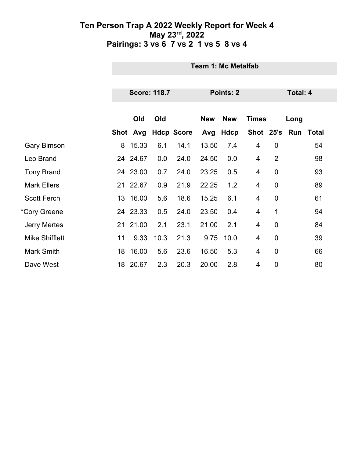|                       |    | Team 1: Mc Metalfab |      |                   |            |            |              |                 |               |       |  |
|-----------------------|----|---------------------|------|-------------------|------------|------------|--------------|-----------------|---------------|-------|--|
|                       |    |                     |      |                   |            |            |              |                 |               |       |  |
|                       |    | <b>Score: 118.7</b> |      |                   |            | Points: 2  |              | <b>Total: 4</b> |               |       |  |
|                       |    |                     |      |                   |            |            |              |                 |               |       |  |
|                       |    | Old                 | Old  |                   | <b>New</b> | <b>New</b> | <b>Times</b> |                 | Long          |       |  |
|                       |    | Shot Avg            |      | <b>Hdcp Score</b> |            | Avg Hdcp   |              |                 | Shot 25's Run | Total |  |
| <b>Gary Bimson</b>    | 8  | 15.33               | 6.1  | 14.1              | 13.50      | 7.4        | 4            | $\mathbf 0$     |               | 54    |  |
| Leo Brand             |    | 24 24.67            | 0.0  | 24.0              | 24.50      | 0.0        | 4            | $\overline{2}$  |               | 98    |  |
| <b>Tony Brand</b>     |    | 24 23.00            | 0.7  | 24.0              | 23.25      | 0.5        | 4            | $\overline{0}$  |               | 93    |  |
| <b>Mark Ellers</b>    |    | 21 22.67            | 0.9  | 21.9              | 22.25      | 1.2        | 4            | $\overline{0}$  |               | 89    |  |
| <b>Scott Ferch</b>    | 13 | 16.00               | 5.6  | 18.6              | 15.25      | 6.1        | 4            | $\mathbf 0$     |               | 61    |  |
| *Cory Greene          |    | 24 23.33            | 0.5  | 24.0              | 23.50      | 0.4        | 4            | 1               |               | 94    |  |
| <b>Jerry Mertes</b>   |    | 21 21.00            | 2.1  | 23.1              | 21.00      | 2.1        | 4            | $\mathbf 0$     |               | 84    |  |
| <b>Mike Shifflett</b> | 11 | 9.33                | 10.3 | 21.3              | 9.75       | 10.0       | 4            | $\mathbf 0$     |               | 39    |  |
| Mark Smith            | 18 | 16.00               | 5.6  | 23.6              | 16.50      | 5.3        | 4            | $\overline{0}$  |               | 66    |  |
| Dave West             |    | 18 20.67            | 2.3  | 20.3              | 20.00      | 2.8        | 4            | $\mathbf 0$     |               | 80    |  |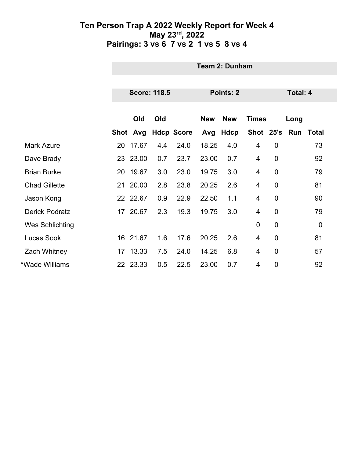|                       | <b>Team 2: Dunham</b> |          |                     |                   |            |             |                |                 |      |              |  |
|-----------------------|-----------------------|----------|---------------------|-------------------|------------|-------------|----------------|-----------------|------|--------------|--|
|                       |                       |          |                     |                   |            |             |                |                 |      |              |  |
|                       |                       |          | <b>Score: 118.5</b> |                   | Points: 2  |             |                | <b>Total: 4</b> |      |              |  |
|                       |                       |          |                     |                   |            |             |                |                 |      |              |  |
|                       |                       | Old      | Old                 |                   | <b>New</b> | <b>New</b>  | <b>Times</b>   |                 | Long |              |  |
|                       |                       | Shot Avg |                     | <b>Hdcp Score</b> | Avg        | <b>Hdcp</b> | Shot 25's Run  |                 |      | <b>Total</b> |  |
| <b>Mark Azure</b>     | 20                    | 17.67    | 4.4                 | 24.0              | 18.25      | 4.0         | 4              | $\mathbf 0$     |      | 73           |  |
| Dave Brady            |                       | 23 23.00 | 0.7                 | 23.7              | 23.00      | 0.7         | 4              | $\mathbf 0$     |      | 92           |  |
| <b>Brian Burke</b>    | 20                    | 19.67    | 3.0                 | 23.0              | 19.75      | 3.0         | 4              | $\overline{0}$  |      | 79           |  |
| <b>Chad Gillette</b>  |                       | 21 20.00 | 2.8                 | 23.8              | 20.25      | 2.6         | 4              | $\mathbf 0$     |      | 81           |  |
| Jason Kong            |                       | 22 22.67 | 0.9                 | 22.9              | 22.50      | 1.1         | 4              | $\mathbf 0$     |      | 90           |  |
| <b>Derick Podratz</b> |                       | 17 20.67 | 2.3                 | 19.3              | 19.75      | 3.0         | 4              | $\mathbf 0$     |      | 79           |  |
| Wes Schlichting       |                       |          |                     |                   |            |             | $\mathbf 0$    | $\mathbf 0$     |      | $\mathbf 0$  |  |
| <b>Lucas Sook</b>     |                       | 16 21.67 | 1.6                 | 17.6              | 20.25      | 2.6         | 4              | $\overline{0}$  |      | 81           |  |
| Zach Whitney          |                       | 17 13.33 | 7.5                 | 24.0              | 14.25      | 6.8         | 4              | $\mathbf 0$     |      | 57           |  |
| *Wade Williams        |                       | 22 23.33 | 0.5                 | 22.5              | 23.00      | 0.7         | $\overline{4}$ | $\overline{0}$  |      | 92           |  |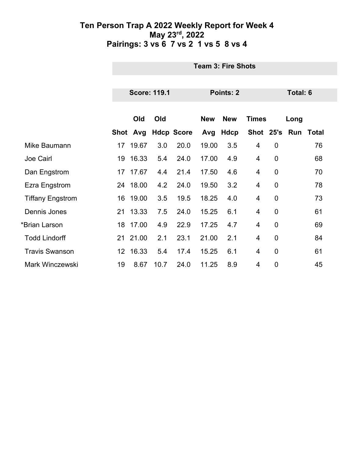|                         |                  | <b>Team 3: Fire Shots</b> |      |                   |            |             |                |                 |      |                     |  |  |
|-------------------------|------------------|---------------------------|------|-------------------|------------|-------------|----------------|-----------------|------|---------------------|--|--|
|                         |                  |                           |      |                   |            |             |                |                 |      |                     |  |  |
|                         |                  | <b>Score: 119.1</b>       |      |                   |            | Points: 2   |                | <b>Total: 6</b> |      |                     |  |  |
|                         |                  | Old                       | Old  |                   | <b>New</b> | <b>New</b>  |                |                 |      |                     |  |  |
|                         |                  |                           |      |                   |            |             | <b>Times</b>   |                 | Long |                     |  |  |
|                         |                  | Shot Avg                  |      | <b>Hdcp Score</b> | Avg        | <b>Hdcp</b> |                |                 |      | Shot 25's Run Total |  |  |
| Mike Baumann            | 17               | 19.67                     | 3.0  | 20.0              | 19.00      | 3.5         | 4              | $\mathbf 0$     |      | 76                  |  |  |
| Joe Cairl               | 19               | 16.33                     | 5.4  | 24.0              | 17.00      | 4.9         | 4              | 0               |      | 68                  |  |  |
| Dan Engstrom            | 17               | 17.67                     | 4.4  | 21.4              | 17.50      | 4.6         | $\overline{4}$ | 0               |      | 70                  |  |  |
| Ezra Engstrom           |                  | 24 18.00                  | 4.2  | 24.0              | 19.50      | 3.2         | 4              | $\mathbf 0$     |      | 78                  |  |  |
| <b>Tiffany Engstrom</b> | 16               | 19.00                     | 3.5  | 19.5              | 18.25      | 4.0         | 4              | 0               |      | 73                  |  |  |
| Dennis Jones            |                  | 21 13.33                  | 7.5  | 24.0              | 15.25      | 6.1         | 4              | $\mathbf 0$     |      | 61                  |  |  |
| *Brian Larson           | 18               | 17.00                     | 4.9  | 22.9              | 17.25      | 4.7         | 4              | 0               |      | 69                  |  |  |
| <b>Todd Lindorff</b>    |                  | 21 21.00                  | 2.1  | 23.1              | 21.00      | 2.1         | $\overline{4}$ | $\mathbf 0$     |      | 84                  |  |  |
| <b>Travis Swanson</b>   | 12 <sup>12</sup> | 16.33                     | 5.4  | 17.4              | 15.25      | 6.1         | 4              | $\mathbf 0$     |      | 61                  |  |  |
| <b>Mark Winczewski</b>  | 19               | 8.67                      | 10.7 | 24.0              | 11.25      | 8.9         | 4              | 0               |      | 45                  |  |  |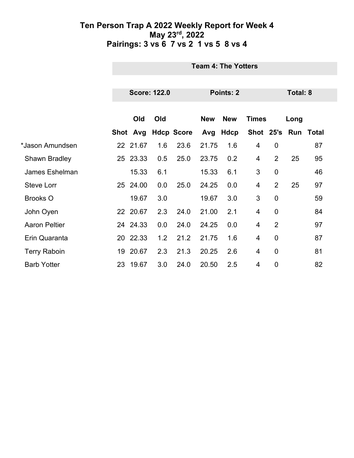|                      |    | <b>Team 4: The Yotters</b>       |     |                     |            |             |              |                |      |           |  |  |
|----------------------|----|----------------------------------|-----|---------------------|------------|-------------|--------------|----------------|------|-----------|--|--|
|                      |    | <b>Score: 122.0</b><br>Points: 2 |     |                     |            |             |              |                |      | Total: 8  |  |  |
|                      |    |                                  |     |                     |            |             |              |                |      |           |  |  |
|                      |    | Old                              | Old |                     | <b>New</b> | <b>New</b>  | <b>Times</b> |                | Long |           |  |  |
|                      |    |                                  |     | Shot Avg Hdcp Score | Avg        | <b>Hdcp</b> | Shot 25's    |                |      | Run Total |  |  |
| *Jason Amundsen      |    | 22 21.67                         | 1.6 | 23.6                | 21.75      | 1.6         | 4            | $\mathbf 0$    |      | 87        |  |  |
| <b>Shawn Bradley</b> |    | 25 23.33                         | 0.5 | 25.0                | 23.75      | 0.2         | 4            | $\overline{2}$ | 25   | 95        |  |  |
| James Eshelman       |    | 15.33                            | 6.1 |                     | 15.33      | 6.1         | 3            | $\overline{0}$ |      | 46        |  |  |
| <b>Steve Lorr</b>    |    | 25 24.00                         | 0.0 | 25.0                | 24.25      | 0.0         | 4            | $\overline{2}$ | 25   | 97        |  |  |
| <b>Brooks O</b>      |    | 19.67                            | 3.0 |                     | 19.67      | 3.0         | 3            | $\overline{0}$ |      | 59        |  |  |
| John Oyen            |    | 22 20.67                         | 2.3 | 24.0                | 21.00      | 2.1         | 4            | $\mathbf 0$    |      | 84        |  |  |
| <b>Aaron Peltier</b> |    | 24 24.33                         | 0.0 | 24.0                | 24.25      | 0.0         | 4            | $\overline{2}$ |      | 97        |  |  |
| Erin Quaranta        |    | 20 22.33                         | 1.2 | 21.2                | 21.75      | 1.6         | 4            | $\overline{0}$ |      | 87        |  |  |
| <b>Terry Raboin</b>  |    | 19 20.67                         | 2.3 | 21.3                | 20.25      | 2.6         | 4            | $\mathbf 0$    |      | 81        |  |  |
| <b>Barb Yotter</b>   | 23 | 19.67                            | 3.0 | 24.0                | 20.50      | 2.5         | 4            | $\overline{0}$ |      | 82        |  |  |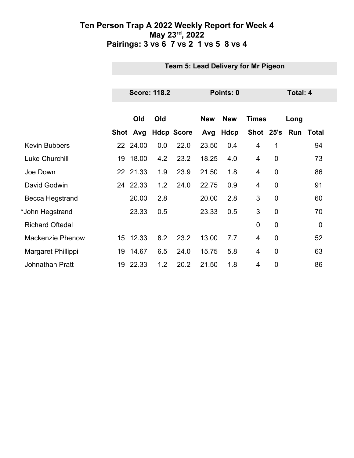|                         |    | Team 5: Lead Delivery for Mr Pigeon |     |                   |            |             |                |                 |               |             |  |
|-------------------------|----|-------------------------------------|-----|-------------------|------------|-------------|----------------|-----------------|---------------|-------------|--|
|                         |    |                                     |     |                   |            |             |                |                 |               |             |  |
|                         |    | <b>Score: 118.2</b>                 |     |                   | Points: 0  |             |                | <b>Total: 4</b> |               |             |  |
|                         |    |                                     |     |                   |            |             |                |                 |               |             |  |
|                         |    | Old                                 | Old |                   | <b>New</b> | <b>New</b>  | <b>Times</b>   |                 | Long          |             |  |
|                         |    | Shot Avg                            |     | <b>Hdcp Score</b> | Avg        | <b>Hdcp</b> |                |                 | Shot 25's Run | Total       |  |
| <b>Kevin Bubbers</b>    |    | 22 24.00                            | 0.0 | 22.0              | 23.50      | 0.4         | 4              | 1               |               | 94          |  |
| <b>Luke Churchill</b>   | 19 | 18.00                               | 4.2 | 23.2              | 18.25      | 4.0         | $\overline{4}$ | $\overline{0}$  |               | 73          |  |
| Joe Down                |    | 22 21.33                            | 1.9 | 23.9              | 21.50      | 1.8         | 4              | $\mathbf 0$     |               | 86          |  |
| David Godwin            |    | 24 22.33                            | 1.2 | 24.0              | 22.75      | 0.9         | 4              | $\mathbf 0$     |               | 91          |  |
| Becca Hegstrand         |    | 20.00                               | 2.8 |                   | 20.00      | 2.8         | 3              | $\overline{0}$  |               | 60          |  |
| *John Hegstrand         |    | 23.33                               | 0.5 |                   | 23.33      | 0.5         | 3              | $\mathbf 0$     |               | 70          |  |
| <b>Richard Oftedal</b>  |    |                                     |     |                   |            |             | $\mathbf 0$    | $\overline{0}$  |               | $\mathbf 0$ |  |
| <b>Mackenzie Phenow</b> |    | 15 12.33                            | 8.2 | 23.2              | 13.00      | 7.7         | 4              | $\overline{0}$  |               | 52          |  |
| Margaret Phillippi      | 19 | 14.67                               | 6.5 | 24.0              | 15.75      | 5.8         | 4              | $\mathbf 0$     |               | 63          |  |
| <b>Johnathan Pratt</b>  | 19 | 22.33                               | 1.2 | 20.2              | 21.50      | 1.8         | 4              | $\overline{0}$  |               | 86          |  |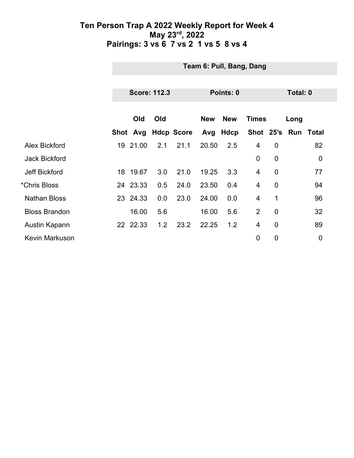|                       |    | Team 6: Pull, Bang, Dang |                     |                     |                                          |      |                |             |          |                     |  |
|-----------------------|----|--------------------------|---------------------|---------------------|------------------------------------------|------|----------------|-------------|----------|---------------------|--|
|                       |    |                          |                     |                     |                                          |      |                |             |          |                     |  |
|                       |    |                          | <b>Score: 112.3</b> |                     | Points: 0                                |      |                |             | Total: 0 |                     |  |
|                       |    | Old                      | Old                 |                     | <b>New</b><br><b>New</b><br><b>Times</b> |      |                |             | Long     |                     |  |
|                       |    |                          |                     | Shot Avg Hdcp Score | Avg                                      | Hdcp |                |             |          | Shot 25's Run Total |  |
| Alex Bickford         | 19 | 21.00                    | 2.1                 | 21.1                | 20.50                                    | 2.5  | $\overline{4}$ | $\mathbf 0$ |          | 82                  |  |
| <b>Jack Bickford</b>  |    |                          |                     |                     |                                          |      | $\mathbf 0$    | $\mathbf 0$ |          | $\boldsymbol{0}$    |  |
| <b>Jeff Bickford</b>  |    | 18 19.67                 | 3.0                 | 21.0                | 19.25                                    | 3.3  | $\overline{4}$ | $\mathbf 0$ |          | 77                  |  |
| *Chris Bloss          |    | 24 23.33                 | 0.5                 | 24.0                | 23.50                                    | 0.4  | $\overline{4}$ | $\mathbf 0$ |          | 94                  |  |
| <b>Nathan Bloss</b>   |    | 23 24.33                 | 0.0                 | 23.0                | 24.00                                    | 0.0  | $\overline{4}$ | 1           |          | 96                  |  |
| <b>Bloss Brandon</b>  |    | 16.00                    | 5.6                 |                     | 16.00                                    | 5.6  | 2              | $\mathbf 0$ |          | 32                  |  |
| Austin Kapann         |    | 22 22.33                 | 1.2                 | 23.2                | 22.25                                    | 1.2  | $\overline{4}$ | $\mathbf 0$ |          | 89                  |  |
| <b>Kevin Markuson</b> |    |                          |                     |                     |                                          |      | $\overline{0}$ | 0           |          | $\mathbf 0$         |  |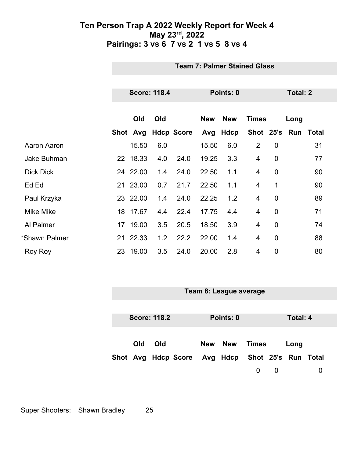|                  | <b>Team 7: Palmer Stained Glass</b> |          |     |                   |            |            |                |                |                     |    |
|------------------|-------------------------------------|----------|-----|-------------------|------------|------------|----------------|----------------|---------------------|----|
|                  |                                     |          |     |                   |            |            |                |                |                     |    |
|                  | <b>Score: 118.4</b>                 |          |     | Points: 0         |            |            | Total: 2       |                |                     |    |
|                  |                                     |          |     |                   |            |            |                |                |                     |    |
|                  |                                     | Old      | Old |                   | <b>New</b> | <b>New</b> | <b>Times</b>   |                | Long                |    |
|                  |                                     | Shot Avg |     | <b>Hdcp Score</b> |            | Avg Hdcp   |                |                | Shot 25's Run Total |    |
| Aaron Aaron      |                                     | 15.50    | 6.0 |                   | 15.50      | 6.0        | $\overline{2}$ | $\mathbf 0$    |                     | 31 |
| Jake Buhman      |                                     | 22 18.33 | 4.0 | 24.0              | 19.25      | 3.3        | 4              | $\mathbf 0$    |                     | 77 |
| <b>Dick Dick</b> |                                     | 24 22.00 | 1.4 | 24.0              | 22.50      | 1.1        | 4              | $\mathbf 0$    |                     | 90 |
| Ed Ed            |                                     | 21 23.00 | 0.7 | 21.7              | 22.50      | 1.1        | 4              | 1              |                     | 90 |
| Paul Krzyka      |                                     | 23 22.00 | 1.4 | 24.0              | 22.25      | 1.2        | 4              | $\mathbf 0$    |                     | 89 |
| <b>Mike Mike</b> |                                     | 18 17.67 | 4.4 | 22.4              | 17.75      | 4.4        | 4              | $\overline{0}$ |                     | 71 |
| Al Palmer        |                                     | 17 19.00 | 3.5 | 20.5              | 18.50      | 3.9        | 4              | $\mathbf 0$    |                     | 74 |
| *Shawn Palmer    |                                     | 21 22.33 | 1.2 | 22.2              | 22.00      | 1.4        | 4              | $\mathbf 0$    |                     | 88 |
| Roy Roy          | 23                                  | 19.00    | 3.5 | 24.0              | 20.00      | 2.8        | 4              | 0              |                     | 80 |

| Team 8: League average |     |                     |                     |  |                              |       |   |          |   |
|------------------------|-----|---------------------|---------------------|--|------------------------------|-------|---|----------|---|
|                        |     |                     |                     |  |                              |       |   |          |   |
|                        |     |                     |                     |  |                              |       |   |          |   |
|                        |     | <b>Score: 118.2</b> |                     |  | Points: 0                    |       |   | Total: 4 |   |
|                        |     |                     |                     |  |                              |       |   |          |   |
|                        |     |                     |                     |  |                              |       |   |          |   |
|                        | Old | Old                 |                     |  | New New                      | Times |   | Long     |   |
|                        |     |                     |                     |  |                              |       |   |          |   |
|                        |     |                     | Shot Avg Hdcp Score |  | Avg Hdcp Shot 25's Run Total |       |   |          |   |
|                        |     |                     |                     |  |                              | 0     | 0 |          | 0 |
|                        |     |                     |                     |  |                              |       |   |          |   |

Super Shooters: Shawn Bradley 25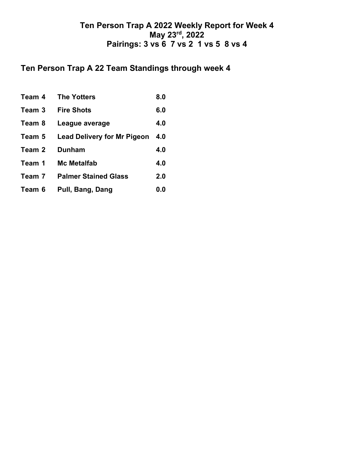## **Ten Person Trap A 22 Team Standings through week 4**

| Team 4 | <b>The Yotters</b>                 | 8.0 |
|--------|------------------------------------|-----|
| Team 3 | <b>Fire Shots</b>                  | 6.0 |
| Team 8 | League average                     | 4.0 |
| Team 5 | <b>Lead Delivery for Mr Pigeon</b> | 4.0 |
| Team 2 | <b>Dunham</b>                      | 4.0 |
| Team 1 | <b>Mc Metalfab</b>                 | 4.0 |
| Team 7 | <b>Palmer Stained Glass</b>        | 2.0 |
| Team 6 | Pull, Bang, Dang                   | 0.0 |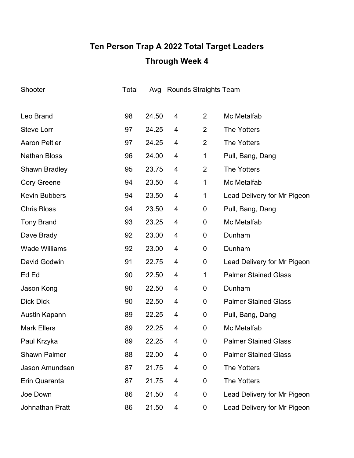# **Ten Person Trap A 2022 Total Target Leaders Through Week 4**

| Shooter              | Total |       |   | Avg Rounds Straights Team |                             |
|----------------------|-------|-------|---|---------------------------|-----------------------------|
|                      |       |       |   |                           |                             |
| Leo Brand            | 98    | 24.50 | 4 | $\overline{2}$            | Mc Metalfab                 |
| <b>Steve Lorr</b>    | 97    | 24.25 | 4 | 2                         | <b>The Yotters</b>          |
| <b>Aaron Peltier</b> | 97    | 24.25 | 4 | $\overline{2}$            | <b>The Yotters</b>          |
| <b>Nathan Bloss</b>  | 96    | 24.00 | 4 | 1                         | Pull, Bang, Dang            |
| <b>Shawn Bradley</b> | 95    | 23.75 | 4 | $\overline{2}$            | <b>The Yotters</b>          |
| <b>Cory Greene</b>   | 94    | 23.50 | 4 | 1                         | Mc Metalfab                 |
| <b>Kevin Bubbers</b> | 94    | 23.50 | 4 | 1                         | Lead Delivery for Mr Pigeon |
| <b>Chris Bloss</b>   | 94    | 23.50 | 4 | 0                         | Pull, Bang, Dang            |
| <b>Tony Brand</b>    | 93    | 23.25 | 4 | 0                         | Mc Metalfab                 |
| Dave Brady           | 92    | 23.00 | 4 | 0                         | Dunham                      |
| <b>Wade Williams</b> | 92    | 23.00 | 4 | 0                         | Dunham                      |
| David Godwin         | 91    | 22.75 | 4 | 0                         | Lead Delivery for Mr Pigeon |
| Ed Ed                | 90    | 22.50 | 4 | 1                         | <b>Palmer Stained Glass</b> |
| Jason Kong           | 90    | 22.50 | 4 | 0                         | Dunham                      |
| <b>Dick Dick</b>     | 90    | 22.50 | 4 | 0                         | <b>Palmer Stained Glass</b> |
| Austin Kapann        | 89    | 22.25 | 4 | 0                         | Pull, Bang, Dang            |
| <b>Mark Ellers</b>   | 89    | 22.25 | 4 | 0                         | Mc Metalfab                 |
| Paul Krzyka          | 89    | 22.25 | 4 | 0                         | <b>Palmer Stained Glass</b> |
| <b>Shawn Palmer</b>  | 88    | 22.00 | 4 | 0                         | <b>Palmer Stained Glass</b> |
| Jason Amundsen       | 87    | 21.75 | 4 | 0                         | <b>The Yotters</b>          |
| Erin Quaranta        | 87    | 21.75 | 4 | 0                         | <b>The Yotters</b>          |
| Joe Down             | 86    | 21.50 | 4 | 0                         | Lead Delivery for Mr Pigeon |
| Johnathan Pratt      | 86    | 21.50 | 4 | 0                         | Lead Delivery for Mr Pigeon |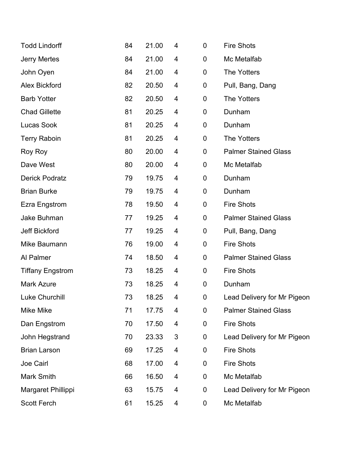| <b>Todd Lindorff</b>    | 84 | 21.00 | 4 | 0           | <b>Fire Shots</b>           |
|-------------------------|----|-------|---|-------------|-----------------------------|
| <b>Jerry Mertes</b>     | 84 | 21.00 | 4 | 0           | Mc Metalfab                 |
| John Oyen               | 84 | 21.00 | 4 | 0           | <b>The Yotters</b>          |
| <b>Alex Bickford</b>    | 82 | 20.50 | 4 | 0           | Pull, Bang, Dang            |
| <b>Barb Yotter</b>      | 82 | 20.50 | 4 | 0           | <b>The Yotters</b>          |
| <b>Chad Gillette</b>    | 81 | 20.25 | 4 | 0           | Dunham                      |
| Lucas Sook              | 81 | 20.25 | 4 | 0           | Dunham                      |
| <b>Terry Raboin</b>     | 81 | 20.25 | 4 | 0           | <b>The Yotters</b>          |
| Roy Roy                 | 80 | 20.00 | 4 | 0           | <b>Palmer Stained Glass</b> |
| Dave West               | 80 | 20.00 | 4 | 0           | Mc Metalfab                 |
| <b>Derick Podratz</b>   | 79 | 19.75 | 4 | 0           | Dunham                      |
| <b>Brian Burke</b>      | 79 | 19.75 | 4 | 0           | Dunham                      |
| <b>Ezra Engstrom</b>    | 78 | 19.50 | 4 | 0           | <b>Fire Shots</b>           |
| Jake Buhman             | 77 | 19.25 | 4 | 0           | <b>Palmer Stained Glass</b> |
| <b>Jeff Bickford</b>    | 77 | 19.25 | 4 | 0           | Pull, Bang, Dang            |
| Mike Baumann            | 76 | 19.00 | 4 | 0           | <b>Fire Shots</b>           |
| Al Palmer               | 74 | 18.50 | 4 | 0           | <b>Palmer Stained Glass</b> |
| <b>Tiffany Engstrom</b> | 73 | 18.25 | 4 | 0           | <b>Fire Shots</b>           |
| <b>Mark Azure</b>       | 73 | 18.25 | 4 | $\mathbf 0$ | Dunham                      |
| <b>Luke Churchill</b>   | 73 | 18.25 | 4 | 0           | Lead Delivery for Mr Pigeon |
| Mike Mike               | 71 | 17.75 | 4 | 0           | <b>Palmer Stained Glass</b> |
| Dan Engstrom            | 70 | 17.50 | 4 | 0           | <b>Fire Shots</b>           |
| John Hegstrand          | 70 | 23.33 | 3 | 0           | Lead Delivery for Mr Pigeon |
| <b>Brian Larson</b>     | 69 | 17.25 | 4 | 0           | <b>Fire Shots</b>           |
| Joe Cairl               | 68 | 17.00 | 4 | 0           | <b>Fire Shots</b>           |
| Mark Smith              | 66 | 16.50 | 4 | 0           | Mc Metalfab                 |
| Margaret Phillippi      | 63 | 15.75 | 4 | 0           | Lead Delivery for Mr Pigeon |
| <b>Scott Ferch</b>      | 61 | 15.25 | 4 | 0           | Mc Metalfab                 |